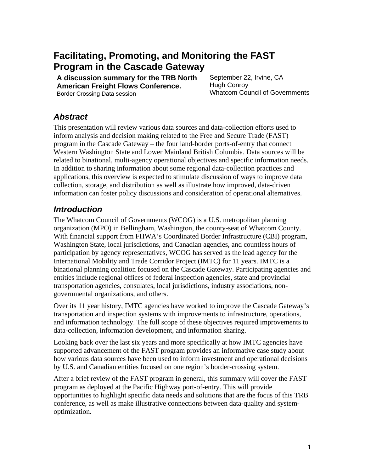# **Facilitating, Promoting, and Monitoring the FAST Program in the Cascade Gateway**

**A discussion summary for the TRB North American Freight Flows Conference.**  Border Crossing Data session

September 22, Irvine, CA Hugh Conroy Whatcom Council of Governments

#### *Abstract*

This presentation will review various data sources and data-collection efforts used to inform analysis and decision making related to the Free and Secure Trade (FAST) program in the Cascade Gateway – the four land-border ports-of-entry that connect Western Washington State and Lower Mainland British Columbia. Data sources will be related to binational, multi-agency operational objectives and specific information needs. In addition to sharing information about some regional data-collection practices and applications, this overview is expected to stimulate discussion of ways to improve data collection, storage, and distribution as well as illustrate how improved, data-driven information can foster policy discussions and consideration of operational alternatives.

#### *Introduction*

The Whatcom Council of Governments (WCOG) is a U.S. metropolitan planning organization (MPO) in Bellingham, Washington, the county-seat of Whatcom County. With financial support from FHWA's Coordinated Border Infrastructure (CBI) program, Washington State, local jurisdictions, and Canadian agencies, and countless hours of participation by agency representatives, WCOG has served as the lead agency for the International Mobility and Trade Corridor Project (IMTC) for 11 years. IMTC is a binational planning coalition focused on the Cascade Gateway. Participating agencies and entities include regional offices of federal inspection agencies, state and provincial transportation agencies, consulates, local jurisdictions, industry associations, nongovernmental organizations, and others.

Over its 11 year history, IMTC agencies have worked to improve the Cascade Gateway's transportation and inspection systems with improvements to infrastructure, operations, and information technology. The full scope of these objectives required improvements to data-collection, information development, and information sharing.

Looking back over the last six years and more specifically at how IMTC agencies have supported advancement of the FAST program provides an informative case study about how various data sources have been used to inform investment and operational decisions by U.S. and Canadian entities focused on one region's border-crossing system.

After a brief review of the FAST program in general, this summary will cover the FAST program as deployed at the Pacific Highway port-of-entry. This will provide opportunities to highlight specific data needs and solutions that are the focus of this TRB conference, as well as make illustrative connections between data-quality and systemoptimization.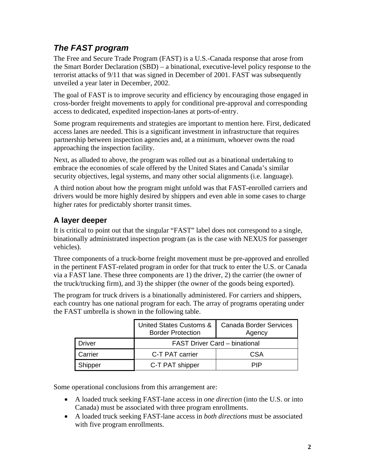## *The FAST program*

The Free and Secure Trade Program (FAST) is a U.S.-Canada response that arose from the Smart Border Declaration (SBD) – a binational, executive-level policy response to the terrorist attacks of 9/11 that was signed in December of 2001. FAST was subsequently unveiled a year later in December, 2002.

The goal of FAST is to improve security and efficiency by encouraging those engaged in cross-border freight movements to apply for conditional pre-approval and corresponding access to dedicated, expedited inspection-lanes at ports-of-entry.

Some program requirements and strategies are important to mention here. First, dedicated access lanes are needed. This is a significant investment in infrastructure that requires partnership between inspection agencies and, at a minimum, whoever owns the road approaching the inspection facility.

Next, as alluded to above, the program was rolled out as a binational undertaking to embrace the economies of scale offered by the United States and Canada's similar security objectives, legal systems, and many other social alignments (i.e. language).

A third notion about how the program might unfold was that FAST-enrolled carriers and drivers would be more highly desired by shippers and even able in some cases to charge higher rates for predictably shorter transit times.

#### **A layer deeper**

It is critical to point out that the singular "FAST" label does not correspond to a single, binationally administrated inspection program (as is the case with NEXUS for passenger vehicles).

Three components of a truck-borne freight movement must be pre-approved and enrolled in the pertinent FAST-related program in order for that truck to enter the U.S. or Canada via a FAST lane. These three components are 1) the driver, 2) the carrier (the owner of the truck/trucking firm), and 3) the shipper (the owner of the goods being exported).

The program for truck drivers is a binationally administered. For carriers and shippers, each country has one national program for each. The array of programs operating under the FAST umbrella is shown in the following table.

|         | <b>United States Customs &amp;</b><br><b>Border Protection</b> | <b>Canada Border Services</b><br>Agency |  |
|---------|----------------------------------------------------------------|-----------------------------------------|--|
| Driver  | <b>FAST Driver Card - binational</b>                           |                                         |  |
| Carrier | C-T PAT carrier                                                | CSA                                     |  |
| Shipper | C-T PAT shipper                                                | PIP                                     |  |

Some operational conclusions from this arrangement are:

- A loaded truck seeking FAST-lane access in *one direction* (into the U.S. or into Canada) must be associated with three program enrollments.
- A loaded truck seeking FAST-lane access in *both directions* must be associated with five program enrollments.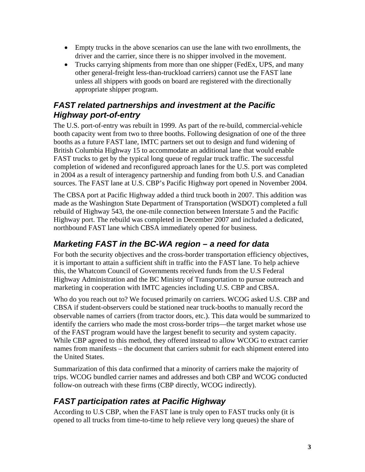- Empty trucks in the above scenarios can use the lane with two enrollments, the driver and the carrier, since there is no shipper involved in the movement.
- Trucks carrying shipments from more than one shipper (FedEx, UPS, and many other general-freight less-than-truckload carriers) cannot use the FAST lane unless all shippers with goods on board are registered with the directionally appropriate shipper program.

#### *FAST related partnerships and investment at the Pacific Highway port-of-entry*

The U.S. port-of-entry was rebuilt in 1999. As part of the re-build, commercial-vehicle booth capacity went from two to three booths. Following designation of one of the three booths as a future FAST lane, IMTC partners set out to design and fund widening of British Columbia Highway 15 to accommodate an additional lane that would enable FAST trucks to get by the typical long queue of regular truck traffic. The successful completion of widened and reconfigured approach lanes for the U.S. port was completed in 2004 as a result of interagency partnership and funding from both U.S. and Canadian sources. The FAST lane at U.S. CBP's Pacific Highway port opened in November 2004.

The CBSA port at Pacific Highway added a third truck booth in 2007. This addition was made as the Washington State Department of Transportation (WSDOT) completed a full rebuild of Highway 543, the one-mile connection between Interstate 5 and the Pacific Highway port. The rebuild was completed in December 2007 and included a dedicated, northbound FAST lane which CBSA immediately opened for business.

## *Marketing FAST in the BC-WA region – a need for data*

For both the security objectives and the cross-border transportation efficiency objectives, it is important to attain a sufficient shift in traffic into the FAST lane. To help achieve this, the Whatcom Council of Governments received funds from the U.S Federal Highway Administration and the BC Ministry of Transportation to pursue outreach and marketing in cooperation with IMTC agencies including U.S. CBP and CBSA.

Who do you reach out to? We focused primarily on carriers. WCOG asked U.S. CBP and CBSA if student-observers could be stationed near truck-booths to manually record the observable names of carriers (from tractor doors, etc.). This data would be summarized to identify the carriers who made the most cross-border trips—the target market whose use of the FAST program would have the largest benefit to security and system capacity. While CBP agreed to this method, they offered instead to allow WCOG to extract carrier names from manifests – the document that carriers submit for each shipment entered into the United States.

Summarization of this data confirmed that a minority of carriers make the majority of trips. WCOG bundled carrier names and addresses and both CBP and WCOG conducted follow-on outreach with these firms (CBP directly, WCOG indirectly).

## *FAST participation rates at Pacific Highway*

According to U.S CBP, when the FAST lane is truly open to FAST trucks only (it is opened to all trucks from time-to-time to help relieve very long queues) the share of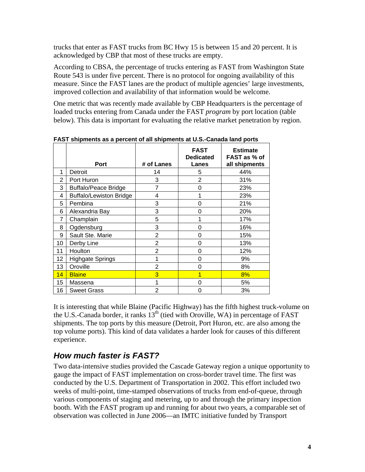trucks that enter as FAST trucks from BC Hwy 15 is between 15 and 20 percent. It is acknowledged by CBP that most of these trucks are empty.

According to CBSA, the percentage of trucks entering as FAST from Washington State Route 543 is under five percent. There is no protocol for ongoing availability of this measure. Since the FAST lanes are the product of multiple agencies' large investments, improved collection and availability of that information would be welcome.

One metric that was recently made available by CBP Headquarters is the percentage of loaded trucks entering from Canada under the FAST *program* by port location (table below). This data is important for evaluating the relative market penetration by region.

|    | Port                           | # of Lanes     | <b>FAST</b><br><b>Dedicated</b><br>Lanes | <b>Estimate</b><br>FAST as % of<br>all shipments |
|----|--------------------------------|----------------|------------------------------------------|--------------------------------------------------|
| 1  | Detroit                        | 14             | 5                                        | 44%                                              |
| 2  | Port Huron                     | 3              | 2                                        | 31%                                              |
| 3  | <b>Buffalo/Peace Bridge</b>    | 7              | 0                                        | 23%                                              |
| 4  | <b>Buffalo/Lewiston Bridge</b> | 4              | 1                                        | 23%                                              |
| 5  | Pembina                        | 3              | 0                                        | 21%                                              |
| 6  | Alexandria Bay                 | 3              | 0                                        | 20%                                              |
| 7  | Champlain                      | 5              | 1                                        | 17%                                              |
| 8  | Ogdensburg                     | 3              | 0                                        | 16%                                              |
| 9  | Sault Ste. Marie               | $\overline{2}$ | 0                                        | 15%                                              |
| 10 | Derby Line                     | 2              | 0                                        | 13%                                              |
| 11 | Houlton                        | 2              | 0                                        | 12%                                              |
| 12 | <b>Highgate Springs</b>        | 1              | 0                                        | 9%                                               |
| 13 | Oroville                       | 2              | 0                                        | 8%                                               |
| 14 | <b>Blaine</b>                  | 3              | 1                                        | 8%                                               |
| 15 | Massena                        | 1              | 0                                        | 5%                                               |
| 16 | <b>Sweet Grass</b>             | $\overline{2}$ | 0                                        | 3%                                               |

**FAST shipments as a percent of all shipments at U.S.-Canada land ports** 

It is interesting that while Blaine (Pacific Highway) has the fifth highest truck-volume on the U.S.-Canada border, it ranks  $13<sup>th</sup>$  (tied with Oroville, WA) in percentage of FAST shipments. The top ports by this measure (Detroit, Port Huron, etc. are also among the top volume ports). This kind of data validates a harder look for causes of this different experience.

# *How much faster is FAST?*

Two data-intensive studies provided the Cascade Gateway region a unique opportunity to gauge the impact of FAST implementation on cross-border travel time. The first was conducted by the U.S. Department of Transportation in 2002. This effort included two weeks of multi-point, time-stamped observations of trucks from end-of-queue, through various components of staging and metering, up to and through the primary inspection booth. With the FAST program up and running for about two years, a comparable set of observation was collected in June 2006—an IMTC initiative funded by Transport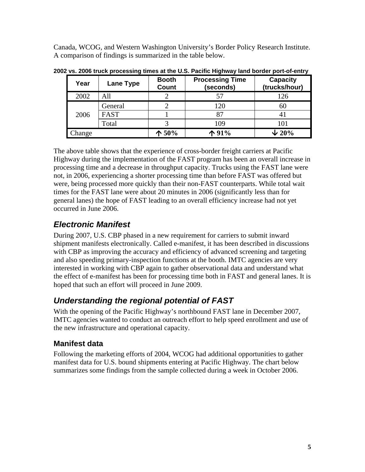Canada, WCOG, and Western Washington University's Border Policy Research Institute. A comparison of findings is summarized in the table below.

| Year   | Lane Type   | <b>Booth</b><br>Count | <b>Processing Time</b><br>(seconds) | <b>Capacity</b><br>(trucks/hour) |
|--------|-------------|-----------------------|-------------------------------------|----------------------------------|
| 2002   | All         |                       |                                     | 126                              |
| 2006   | General     |                       | 120                                 | 60                               |
|        | <b>FAST</b> |                       |                                     | 41                               |
|        | Total       |                       | 109                                 | 101                              |
| Change |             | $\spadesuit$ 50%      | 个91%                                | $\sqrt{20\%}$                    |

**2002 vs. 2006 truck processing times at the U.S. Pacific Highway land border port-of-entry** 

The above table shows that the experience of cross-border freight carriers at Pacific Highway during the implementation of the FAST program has been an overall increase in processing time and a decrease in throughput capacity. Trucks using the FAST lane were not, in 2006, experiencing a shorter processing time than before FAST was offered but were, being processed more quickly than their non-FAST counterparts. While total wait times for the FAST lane were about 20 minutes in 2006 (significantly less than for general lanes) the hope of FAST leading to an overall efficiency increase had not yet occurred in June 2006.

## *Electronic Manifest*

During 2007, U.S. CBP phased in a new requirement for carriers to submit inward shipment manifests electronically. Called e-manifest, it has been described in discussions with CBP as improving the accuracy and efficiency of advanced screening and targeting and also speeding primary-inspection functions at the booth. IMTC agencies are very interested in working with CBP again to gather observational data and understand what the effect of e-manifest has been for processing time both in FAST and general lanes. It is hoped that such an effort will proceed in June 2009.

# *Understanding the regional potential of FAST*

With the opening of the Pacific Highway's northbound FAST lane in December 2007, IMTC agencies wanted to conduct an outreach effort to help speed enrollment and use of the new infrastructure and operational capacity.

#### **Manifest data**

Following the marketing efforts of 2004, WCOG had additional opportunities to gather manifest data for U.S. bound shipments entering at Pacific Highway. The chart below summarizes some findings from the sample collected during a week in October 2006.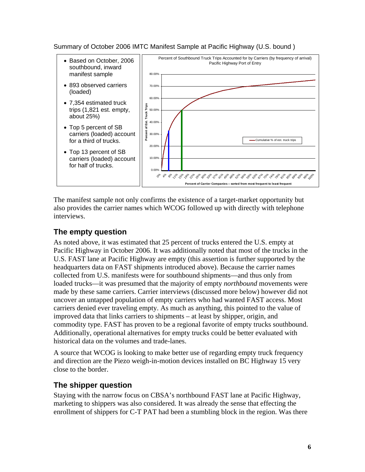Summary of October 2006 IMTC Manifest Sample at Pacific Highway (U.S. bound )



The manifest sample not only confirms the existence of a target-market opportunity but also provides the carrier names which WCOG followed up with directly with telephone interviews.

#### **The empty question**

As noted above, it was estimated that 25 percent of trucks entered the U.S. empty at Pacific Highway in October 2006. It was additionally noted that most of the trucks in the U.S. FAST lane at Pacific Highway are empty (this assertion is further supported by the headquarters data on FAST shipments introduced above). Because the carrier names collected from U.S. manifests were for southbound shipments—and thus only from loaded trucks—it was presumed that the majority of empty *northbound* movements were made by these same carriers. Carrier interviews (discussed more below) however did not uncover an untapped population of empty carriers who had wanted FAST access. Most carriers denied ever traveling empty. As much as anything, this pointed to the value of improved data that links carriers to shipments – at least by shipper, origin, and commodity type. FAST has proven to be a regional favorite of empty trucks southbound. Additionally, operational alternatives for empty trucks could be better evaluated with historical data on the volumes and trade-lanes.

A source that WCOG is looking to make better use of regarding empty truck frequency and direction are the Piezo weigh-in-motion devices installed on BC Highway 15 very close to the border.

#### **The shipper question**

Staying with the narrow focus on CBSA's northbound FAST lane at Pacific Highway, marketing to shippers was also considered. It was already the sense that effecting the enrollment of shippers for C-T PAT had been a stumbling block in the region. Was there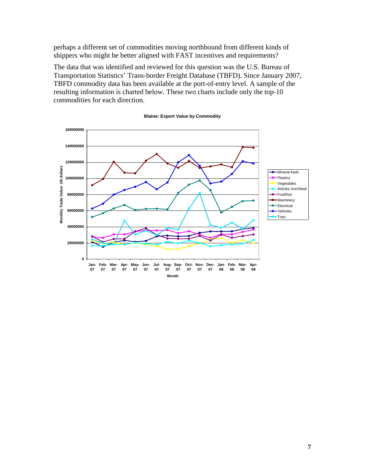perhaps a different set of commodities moving northbound from different kinds of shippers who might be better aligned with FAST incentives and requirements?

The data that was identified and reviewed for this question was the U.S. Bureau of Transportation Statistics' Trans-border Freight Database (TBFD). Since January 2007, TBFD commodity data has been available at the port-of-entry level. A sample of the resulting information is charted below. These two charts include only the top-10 commodities for each direction.



#### **Blaine: Export Value by Commodity**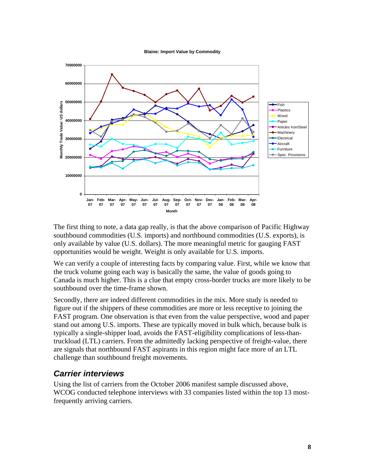**Blaine: Import Value by Commodity**



The first thing to note, a data gap really, is that the above comparison of Pacific Highway southbound commodities (U.S. imports) and northbound commodities (U.S. exports), is only available by value (U.S. dollars). The more meaningful metric for gauging FAST opportunities would be weight. Weight is only available for U.S. imports.

We can verify a couple of interesting facts by comparing value. First, while we know that the truck volume going each way is basically the same, the value of goods going to Canada is much higher. This is a clue that empty cross-border trucks are more likely to be southbound over the time-frame shown.

Secondly, there are indeed different commodities in the mix. More study is needed to figure out if the shippers of these commodities are more or less receptive to joining the FAST program. One observation is that even from the value perspective, wood and paper stand out among U.S. imports. These are typically moved in bulk which, because bulk is typically a single-shipper load, avoids the FAST-eligibility complications of less-thantruckload (LTL) carriers. From the admittedly lacking perspective of freight-value, there are signals that northbound FAST aspirants in this region might face more of an LTL challenge than southbound freight movements.

#### *Carrier interviews*

Using the list of carriers from the October 2006 manifest sample discussed above, WCOG conducted telephone interviews with 33 companies listed within the top 13 mostfrequently arriving carriers.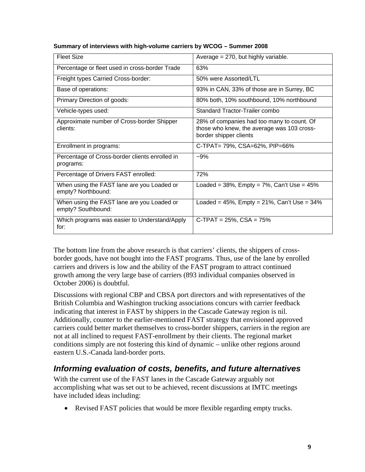| Fleet Size                                                       | Average $= 270$ , but highly variable.                                                                             |  |
|------------------------------------------------------------------|--------------------------------------------------------------------------------------------------------------------|--|
| Percentage or fleet used in cross-border Trade                   | 63%                                                                                                                |  |
| Freight types Carried Cross-border:                              | 50% were Assorted/LTL                                                                                              |  |
| Base of operations:                                              | 93% in CAN, 33% of those are in Surrey, BC                                                                         |  |
| Primary Direction of goods:                                      | 80% both, 10% southbound, 10% northbound                                                                           |  |
| Vehicle-types used:                                              | Standard Tractor-Trailer combo                                                                                     |  |
| Approximate number of Cross-border Shipper<br>clients:           | 28% of companies had too many to count. Of<br>those who knew, the average was 103 cross-<br>border shipper clients |  |
| Enrollment in programs:                                          | C-TPAT= 79%, CSA=62%, PIP=66%                                                                                      |  |
| Percentage of Cross-border clients enrolled in<br>programs:      | $-9%$                                                                                                              |  |
| Percentage of Drivers FAST enrolled:                             | 72%                                                                                                                |  |
| When using the FAST lane are you Loaded or<br>empty? Northbound: | Loaded = $38\%$ , Empty = $7\%$ , Can't Use = $45\%$                                                               |  |
| When using the FAST lane are you Loaded or<br>empty? Southbound: | Loaded = $45\%$ , Empty = $21\%$ , Can't Use = $34\%$                                                              |  |
| Which programs was easier to Understand/Apply<br>for:            | $C-TPAT = 25\%$ , $CSA = 75\%$                                                                                     |  |

#### **Summary of interviews with high-volume carriers by WCOG – Summer 2008**

The bottom line from the above research is that carriers' clients, the shippers of crossborder goods, have not bought into the FAST programs. Thus, use of the lane by enrolled carriers and drivers is low and the ability of the FAST program to attract continued growth among the very large base of carriers (893 individual companies observed in October 2006) is doubtful.

Discussions with regional CBP and CBSA port directors and with representatives of the British Columbia and Washington trucking associations concurs with carrier feedback indicating that interest in FAST by shippers in the Cascade Gateway region is nil. Additionally, counter to the earlier-mentioned FAST strategy that envisioned approved carriers could better market themselves to cross-border shippers, carriers in the region are not at all inclined to request FAST-enrollment by their clients. The regional market conditions simply are not fostering this kind of dynamic – unlike other regions around eastern U.S.-Canada land-border ports.

#### *Informing evaluation of costs, benefits, and future alternatives*

With the current use of the FAST lanes in the Cascade Gateway arguably not accomplishing what was set out to be achieved, recent discussions at IMTC meetings have included ideas including:

Revised FAST policies that would be more flexible regarding empty trucks.